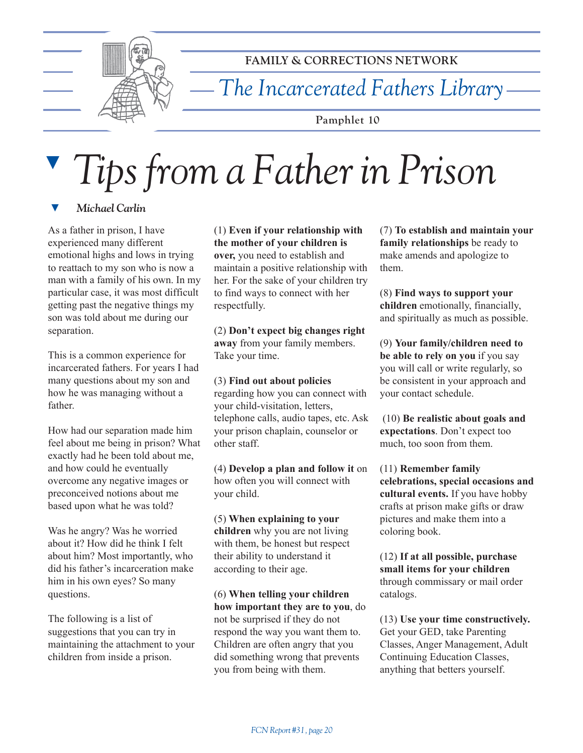

**FAMILY & CORRECTIONS NETWORK**

*The Incarcerated Fathers Library*

**Pamphlet 10**

## ▼ *Tips from a Father in Prison*

**Michael Carlin** 

As a father in prison, I have experienced many different emotional highs and lows in trying to reattach to my son who is now a man with a family of his own. In my particular case, it was most difficult getting past the negative things my son was told about me during our separation.

This is a common experience for incarcerated fathers. For years I had many questions about my son and how he was managing without a father.

How had our separation made him feel about me being in prison? What exactly had he been told about me, and how could he eventually overcome any negative images or preconceived notions about me based upon what he was told?

Was he angry? Was he worried about it? How did he think I felt about him? Most importantly, who did his father's incarceration make him in his own eyes? So many questions.

The following is a list of suggestions that you can try in maintaining the attachment to your children from inside a prison.

(1) **Even if your relationship with the mother of your children is over,** you need to establish and maintain a positive relationship with her. For the sake of your children try to find ways to connect with her respectfully.

(2) **Donít expect big changes right away** from your family members. Take your time.

(3) **Find out about policies** regarding how you can connect with your child-visitation, letters, telephone calls, audio tapes, etc. Ask your prison chaplain, counselor or other staff.

(4) **Develop a plan and follow it** on how often you will connect with your child.

(5) **When explaining to your children** why you are not living with them, be honest but respect their ability to understand it according to their age.

(6) **When telling your children how important they are to you**, do not be surprised if they do not respond the way you want them to. Children are often angry that you did something wrong that prevents you from being with them.

(7) **To establish and maintain your family relationships** be ready to make amends and apologize to them.

(8) **Find ways to support your children** emotionally, financially, and spiritually as much as possible.

(9) **Your family/children need to be able to rely on you** if you say you will call or write regularly, so be consistent in your approach and your contact schedule.

 (10) **Be realistic about goals and expectations**. Don't expect too much, too soon from them.

(11) **Remember family celebrations, special occasions and cultural events.** If you have hobby crafts at prison make gifts or draw pictures and make them into a coloring book.

(12) **If at all possible, purchase small items for your children** through commissary or mail order catalogs.

(13) **Use your time constructively.** Get your GED, take Parenting Classes, Anger Management, Adult Continuing Education Classes, anything that betters yourself.